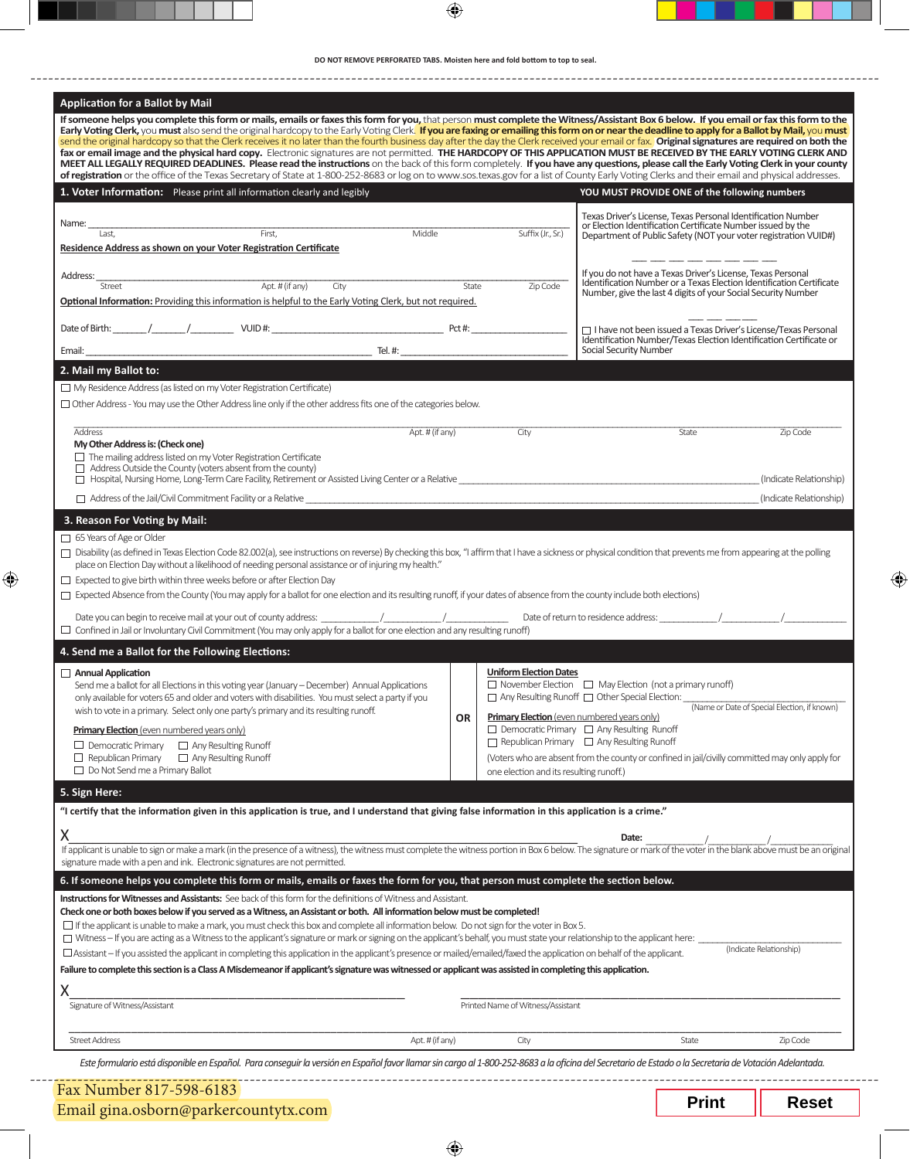| DO NOT REMOVE PERFORATED TABS. Moisten here and fold bottom to top to seal. |  |  |
|-----------------------------------------------------------------------------|--|--|
|-----------------------------------------------------------------------------|--|--|

 $\bigoplus$ 

| Application for a Ballot by Mail<br>If someone helps you complete this form or mails, emails or faxes this form for you, that person must complete the Witness/Assistant Box 6 below. If you email or fax this form to the                                                                                                                                                                                                                                                                                                                                                                                                                                   |                 |                                                    |                                                                                                                                        |                                              |
|--------------------------------------------------------------------------------------------------------------------------------------------------------------------------------------------------------------------------------------------------------------------------------------------------------------------------------------------------------------------------------------------------------------------------------------------------------------------------------------------------------------------------------------------------------------------------------------------------------------------------------------------------------------|-----------------|----------------------------------------------------|----------------------------------------------------------------------------------------------------------------------------------------|----------------------------------------------|
| Early Voting Clerk, you must also send the original hardcopy to the Early Voting Clerk. If you are faxing or emailing this form on or near the deadline to apply for a Ballot by Mail, you must                                                                                                                                                                                                                                                                                                                                                                                                                                                              |                 |                                                    |                                                                                                                                        |                                              |
| send the original hardcopy so that the Clerk receives it no later than the fourth business day after the day the Clerk received your email or fax. Original signatures are required on both the<br>fax or email image and the physical hard copy. Electronic signatures are not permitted. THE HARDCOPY OF THIS APPLICATION MUST BE RECEIVED BY THE EARLY VOTING CLERK AND                                                                                                                                                                                                                                                                                   |                 |                                                    |                                                                                                                                        |                                              |
| MEET ALL LEGALLY REQUIRED DEADLINES. Please read the instructions on the back of this form completely. If you have any questions, please call the Early Voting Clerk in your county<br>of registration or the office of the Texas Secretary of State at 1-800-252-8683 or log on to www.sos.texas.gov for a list of County Early Voting Clerks and their email and physical addresses.                                                                                                                                                                                                                                                                       |                 |                                                    |                                                                                                                                        |                                              |
| 1. Voter Information: Please print all information clearly and legibly                                                                                                                                                                                                                                                                                                                                                                                                                                                                                                                                                                                       |                 |                                                    | YOU MUST PROVIDE ONE of the following numbers                                                                                          |                                              |
|                                                                                                                                                                                                                                                                                                                                                                                                                                                                                                                                                                                                                                                              |                 |                                                    |                                                                                                                                        |                                              |
| First,<br>Name:                                                                                                                                                                                                                                                                                                                                                                                                                                                                                                                                                                                                                                              | Middle          |                                                    | Texas Driver's License. Texas Personal Identification Number<br>or Election Identification Certificate Number issued by the            |                                              |
| Last.<br>Residence Address as shown on your Voter Registration Certificate                                                                                                                                                                                                                                                                                                                                                                                                                                                                                                                                                                                   |                 | Suffix (Jr., Sr.)                                  | Department of Public Safety (NOT your voter registration VUID#)                                                                        |                                              |
|                                                                                                                                                                                                                                                                                                                                                                                                                                                                                                                                                                                                                                                              |                 |                                                    |                                                                                                                                        |                                              |
| Address:<br>Apt. # (if any)<br>$\overline{C}$ ity<br>Street                                                                                                                                                                                                                                                                                                                                                                                                                                                                                                                                                                                                  | State           | Zip Code                                           | If you do not have a Texas Driver's License, Texas Personal<br>Identification Number or a Texas Election Identification Certificate    |                                              |
| Optional Information: Providing this information is helpful to the Early Voting Clerk, but not required.                                                                                                                                                                                                                                                                                                                                                                                                                                                                                                                                                     |                 |                                                    | Number, give the last 4 digits of your Social Security Number                                                                          |                                              |
|                                                                                                                                                                                                                                                                                                                                                                                                                                                                                                                                                                                                                                                              |                 |                                                    |                                                                                                                                        |                                              |
|                                                                                                                                                                                                                                                                                                                                                                                                                                                                                                                                                                                                                                                              |                 |                                                    | □ I have not been issued a Texas Driver's License/Texas Personal<br>Identification Number/Texas Election Identification Certificate or |                                              |
|                                                                                                                                                                                                                                                                                                                                                                                                                                                                                                                                                                                                                                                              |                 |                                                    | Social Security Number                                                                                                                 |                                              |
| 2. Mail my Ballot to:                                                                                                                                                                                                                                                                                                                                                                                                                                                                                                                                                                                                                                        |                 |                                                    |                                                                                                                                        |                                              |
| $\Box$ My Residence Address (as listed on my Voter Registration Certificate)                                                                                                                                                                                                                                                                                                                                                                                                                                                                                                                                                                                 |                 |                                                    |                                                                                                                                        |                                              |
| $\Box$ Other Address - You may use the Other Address line only if the other address fits one of the categories below.                                                                                                                                                                                                                                                                                                                                                                                                                                                                                                                                        |                 |                                                    |                                                                                                                                        |                                              |
| Address                                                                                                                                                                                                                                                                                                                                                                                                                                                                                                                                                                                                                                                      | Apt. # (if any) | City                                               | State                                                                                                                                  | Zip Code                                     |
| My Other Address is: (Check one)<br>$\Box$ The mailing address listed on my Voter Registration Certificate                                                                                                                                                                                                                                                                                                                                                                                                                                                                                                                                                   |                 |                                                    |                                                                                                                                        |                                              |
| $\Box$ Address Outside the County (voters absent from the county)                                                                                                                                                                                                                                                                                                                                                                                                                                                                                                                                                                                            |                 |                                                    |                                                                                                                                        |                                              |
|                                                                                                                                                                                                                                                                                                                                                                                                                                                                                                                                                                                                                                                              |                 |                                                    |                                                                                                                                        | (Indicate Relationship)                      |
| $\Box$ Address of the Jail/Civil Commitment Facility or a Relative                                                                                                                                                                                                                                                                                                                                                                                                                                                                                                                                                                                           |                 |                                                    |                                                                                                                                        |                                              |
|                                                                                                                                                                                                                                                                                                                                                                                                                                                                                                                                                                                                                                                              |                 |                                                    |                                                                                                                                        |                                              |
| 3. Reason For Voting by Mail:<br>65 Years of Age or Older<br>□ Disability (as defined in Texas Election Code 82.002(a), see instructions on reverse) By checking this box, "I affirm that I have a sickness or physical condition that prevents me from appearing at the polling<br>place on Election Day without a likelihood of needing personal assistance or of injuring my health."<br>$\Box$ Expected to give birth within three weeks before or after Election Day<br>$\Box$ Expected Absence from the County (You may apply for a ballot for one election and its resulting runoff, if your dates of absence from the county include both elections) |                 |                                                    |                                                                                                                                        |                                              |
| $\Box$ Confined in Jail or Involuntary Civil Commitment (You may only apply for a ballot for one election and any resulting runoff)                                                                                                                                                                                                                                                                                                                                                                                                                                                                                                                          |                 |                                                    |                                                                                                                                        |                                              |
| 4. Send me a Ballot for the Following Elections:                                                                                                                                                                                                                                                                                                                                                                                                                                                                                                                                                                                                             |                 |                                                    |                                                                                                                                        |                                              |
| $\Box$ Annual Application                                                                                                                                                                                                                                                                                                                                                                                                                                                                                                                                                                                                                                    |                 | <b>Uniform Election Dates</b>                      |                                                                                                                                        |                                              |
| Send me a ballot for all Elections in this voting year (January – December) Annual Applications<br>only available for voters 65 and older and voters with disabilities. You must select a party if you                                                                                                                                                                                                                                                                                                                                                                                                                                                       |                 |                                                    | $\Box$ November Election $\Box$ May Election (not a primary runoff)                                                                    |                                              |
| wish to vote in a primary. Select only one party's primary and its resulting runoff.                                                                                                                                                                                                                                                                                                                                                                                                                                                                                                                                                                         | <b>OR</b>       | <b>Primary Election</b> (even numbered years only) |                                                                                                                                        | (Name or Date of Special Election, if known) |
| <b>Primary Election</b> (even numbered years only)                                                                                                                                                                                                                                                                                                                                                                                                                                                                                                                                                                                                           |                 |                                                    | $\Box$ Democratic Primary $\Box$ Any Resulting Runoff                                                                                  |                                              |
| $\Box$ Any Resulting Runoff<br>$\Box$ Democratic Primary                                                                                                                                                                                                                                                                                                                                                                                                                                                                                                                                                                                                     |                 |                                                    | $\Box$ Republican Primary $\Box$ Any Resulting Runoff                                                                                  |                                              |
| $\Box$ Republican Primary<br>$\Box$ Any Resulting Runoff<br>$\Box$ Do Not Send me a Primary Ballot                                                                                                                                                                                                                                                                                                                                                                                                                                                                                                                                                           |                 | one election and its resulting runoff.)            | (Voters who are absent from the county or confined in jail/civilly committed may only apply for                                        |                                              |
|                                                                                                                                                                                                                                                                                                                                                                                                                                                                                                                                                                                                                                                              |                 |                                                    |                                                                                                                                        |                                              |
| 5. Sign Here:<br>"I certify that the information given in this application is true, and I understand that giving false information in this application is a crime."                                                                                                                                                                                                                                                                                                                                                                                                                                                                                          |                 |                                                    |                                                                                                                                        |                                              |
|                                                                                                                                                                                                                                                                                                                                                                                                                                                                                                                                                                                                                                                              |                 |                                                    |                                                                                                                                        |                                              |
| Χ                                                                                                                                                                                                                                                                                                                                                                                                                                                                                                                                                                                                                                                            |                 |                                                    | Date:                                                                                                                                  |                                              |
| If applicant is unable to sign or make a mark (in the presence of a witness), the witness must complete the witness portion in Box 6 below. The signature or mark of the voter in the blank above must be an original<br>signature made with a pen and ink. Electronic signatures are not permitted.                                                                                                                                                                                                                                                                                                                                                         |                 |                                                    |                                                                                                                                        |                                              |
| 6. If someone helps you complete this form or mails, emails or faxes the form for you, that person must complete the section below.                                                                                                                                                                                                                                                                                                                                                                                                                                                                                                                          |                 |                                                    |                                                                                                                                        |                                              |
| Instructions for Witnesses and Assistants: See back of this form for the definitions of Witness and Assistant.                                                                                                                                                                                                                                                                                                                                                                                                                                                                                                                                               |                 |                                                    |                                                                                                                                        |                                              |
| Check one or both boxes below if you served as a Witness, an Assistant or both. All information below must be completed!                                                                                                                                                                                                                                                                                                                                                                                                                                                                                                                                     |                 |                                                    |                                                                                                                                        |                                              |
| If the applicant is unable to make a mark, you must check this box and complete all information below. Do not sign for the voter in Box 5.<br>□ Witness - If you are acting as a Witness to the applicant's signature or mark or signing on the applicant's behalf, you must state your relationship to the applicant here:                                                                                                                                                                                                                                                                                                                                  |                 |                                                    |                                                                                                                                        |                                              |
| $\Box$ Assistant – If you assisted the applicant in completing this application in the applicant's presence or mailed/emailed/faxed the application on behalf of the applicant.                                                                                                                                                                                                                                                                                                                                                                                                                                                                              |                 |                                                    |                                                                                                                                        | (Indicate Relationship)                      |
| Failure to complete this section is a Class A Misdemeanor if applicant's signature was witnessed or applicant was assisted in completing this application.                                                                                                                                                                                                                                                                                                                                                                                                                                                                                                   |                 |                                                    |                                                                                                                                        |                                              |
| Χ                                                                                                                                                                                                                                                                                                                                                                                                                                                                                                                                                                                                                                                            |                 |                                                    |                                                                                                                                        |                                              |
| Signature of Witness/Assistant                                                                                                                                                                                                                                                                                                                                                                                                                                                                                                                                                                                                                               |                 | Printed Name of Witness/Assistant                  |                                                                                                                                        |                                              |
| <b>Street Address</b>                                                                                                                                                                                                                                                                                                                                                                                                                                                                                                                                                                                                                                        | Apt. # (if any) | City                                               | State                                                                                                                                  | (Indicate Relationship)<br>Zip Code          |

 $\bigoplus$ 

Email gina.osborn@parkercountytx.com

 $\bigoplus$ 

 $\bigoplus$